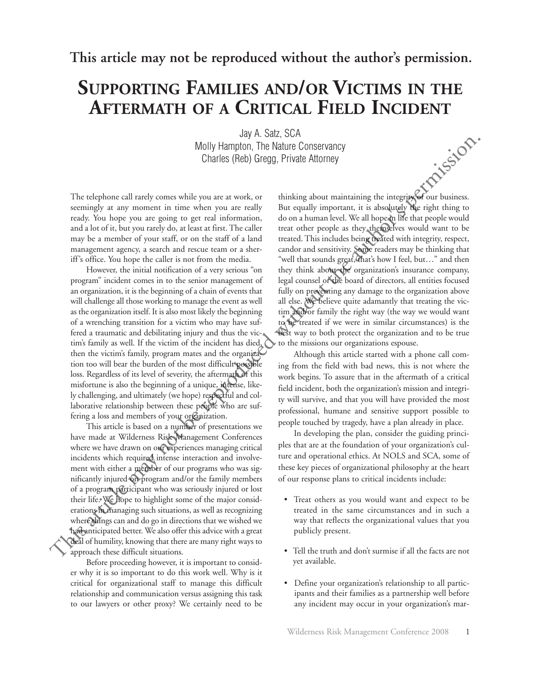**This article may not be reproduced without the author's permission.**

## **SUPPORTING FAMILIES AND/OR VICTIMS IN THE AFTERMATH OF A CRITICAL FIELD INCIDENT**

Jay A. Satz, SCA Molly Hampton, The Nature Conservancy Charles (Reb) Gregg, Private Attorney

The telephone call rarely comes while you are at work, or seemingly at any moment in time when you are really ready. You hope you are going to get real information, and a lot of it, but you rarely do, at least at first. The caller may be a member of your staff, or on the staff of a land management agency, a search and rescue team or a sheriff's office. You hope the caller is not from the media.

However, the initial notification of a very serious "on program" incident comes in to the senior management of an organization, it is the beginning of a chain of events that will challenge all those working to manage the event as well as the organization itself. It is also most likely the beginning of a wrenching transition for a victim who may have suffered a traumatic and debilitating injury and thus the victim's family as well. If the victim of the incident has died, then the victim's family, program mates and the organization too will bear the burden of the most difficult possible loss. Regardless of its level of severity, the aftermath of this misfortune is also the beginning of a unique, intense, likely challenging, and ultimately (we hope) respectful and collaborative relationship between these people who are suffering a loss and members of your organization.

This article is based on a number of presentations we have made at Wilderness Risk Management Conferences where we have drawn on our experiences managing critical incidents which required intense interaction and involvement with either a member of our programs who was significantly injured on program and/or the family members of a program participant who was seriously injured or lost their life. We hope to highlight some of the major considerations in managing such situations, as well as recognizing where things can and do go in directions that we wished we had anticipated better. We also offer this advice with a great deal of humility, knowing that there are many right ways to approach these difficult situations.

Before proceeding however, it is important to consider why it is so important to do this work well. Why is it critical for organizational staff to manage this difficult relationship and communication versus assigning this task to our lawyers or other proxy? We certainly need to be

thinking about maintaining the integrity of our business. But equally important, it is absolutely the right thing to do on a human level. We all hope in life that people would treat other people as they themselves would want to be treated. This includes being treated with integrity, respect, candor and sensitivity. Some readers may be thinking that "well that sounds great, that's how I feel, but…" and then they think about the organization's insurance company, legal counsel or the board of directors, all entities focused fully on preventing any damage to the organization above all else. We believe quite adamantly that treating the victim and/or family the right way (the way we would want to be treated if we were in similar circumstances) is the best way to both protect the organization and to be true to the missions our organizations espouse. Molly Henrylon, The Nektre Conservancy<br>
The telephone cull ranely comes while you are a work, or<br>
This aliay con maintaining the integrity of our business.<br>
seemingly a ray women in the when you are work, or<br>
seemingly an

Although this article started with a phone call coming from the field with bad news, this is not where the work begins. To assure that in the aftermath of a critical field incident, both the organization's mission and integrity will survive, and that you will have provided the most professional, humane and sensitive support possible to people touched by tragedy, have a plan already in place.

In developing the plan, consider the guiding principles that are at the foundation of your organization's culture and operational ethics. At NOLS and SCA, some of these key pieces of organizational philosophy at the heart of our response plans to critical incidents include:

- Treat others as you would want and expect to be treated in the same circumstances and in such a way that reflects the organizational values that you publicly present.
- Tell the truth and don't surmise if all the facts are not yet available.
- Define your organization's relationship to all participants and their families as a partnership well before any incident may occur in your organization's mar-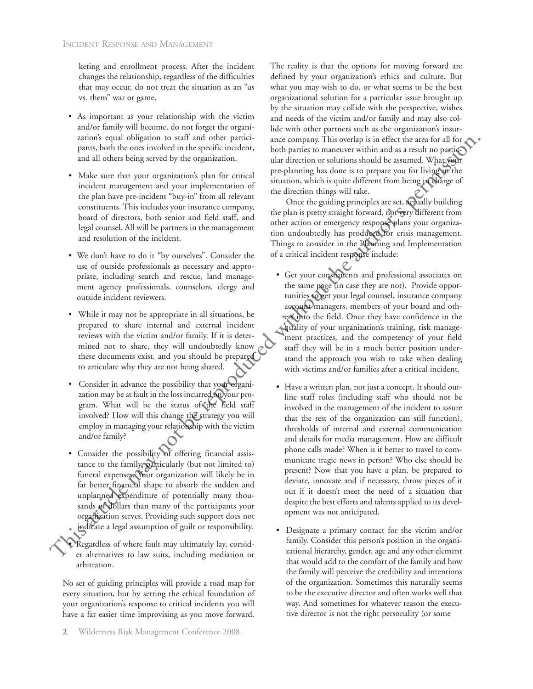keting and enrollment process. After the incident changes the relationship, regardless of the difficulties that may occur, do not treat the situation as an "us vs. them" war or game.

- As important as your relationship with the victim and/or family will become, do not forget the organization's equal obligation to staff and other participants, both the ones involved in the specific incident, and all others being served by the organization.
- Make sure that your organization's plan for critical incident management and your implementation of the plan have pre-incident "buy-in" from all relevant constituents. This includes your insurance company, board of directors, both senior and field staff, and legal counsel. All will be partners in the management and resolution of the incident.
- We don't have to do it "by ourselves". Consider the use of outside professionals as necessary and appropriate, including search and rescue, land management agency professionals, counselors, clergy and outside incident reviewers.
- While it may not be appropriate in all situations, be prepared to share internal and external incident reviews with the victim and/or family. If it is determined not to share, they will undoubtedly know these documents exist, and you should be prepared to articulate why they are not being shared.
- Consider in advance the possibility that your organization may be at fault in the loss incurred on your program. What will be the status of the field staff involved? How will this change the strategy you will employ in managing your relationship with the victim and/or family?
- Consider the possibility of offering financial assistance to the family, particularly (but not limited to) funeral expenses. Your organization will likely be in far better financial shape to absorb the sudden and unplanned expenditure of potentially many thousands of dollars than many of the participants your organization serves. Providing such support does not indicate a legal assumption of guilt or responsibility.
- Regardless of where fault may ultimately lay, consider alternatives to law suits, including mediation or arbitration.

No set of guiding principles will provide a road map for every situation, but by setting the ethical foundation of your organization's response to critical incidents you will have a far easier time improvising as you move forward.

The reality is that the options for moving forward are defined by your organization's ethics and culture. But what you may wish to do, or what seems to be the best organizational solution for a particular issue brought up by the situation may collide with the perspective, wishes and needs of the victim and/or family and may also collide with other partners such as the organization's insurance company. This overlap is in effect the area for all for both parties to maneuver within and as a result no particular direction or solutions should be assumed. What your pre-planning has done is to prepare you for living in the situation, which is quite different from being in charge of the direction things will take.

Once the guiding principles are set, actually building the plan is pretty straight forward, not very different from other action or emergency response plans your organization undoubtedly has produced for crisis management. Things to consider in the Planning and Implementation of a critical incident response include:

- Get your constituents and professional associates on the same page (in case they are not). Provide opportunities to get your legal counsel, insurance company account managers, members of your board and others into the field. Once they have confidence in the quality of your organization's training, risk management practices, and the competency of your field staff they will be in a much better position understand the approach you wish to take when dealing with victims and/or families after a critical incident.
- Have a written plan, not just a concept. It should outline staff roles (including staff who should not be involved in the management of the incident to assure that the rest of the organization can still function), thresholds of internal and external communication and details for media management. How are difficult phone calls made? When is it better to travel to communicate tragic news in person? Who else should be present? Now that you have a plan, be prepared to deviate, innovate and if necessary, throw pieces of it out if it doesn't meet the need of a situation that despite the best efforts and talents applied to its development was not anticipated. aranon can obtig and other particle may company. This orchange is in GEc that are all other behinds to the set of the last the set of the set of the set of the set of the set of the set of the set of the set of the set o
	- Designate a primary contact for the victim and/or family. Consider this person's position in the organizational hierarchy, gender, age and any other element that would add to the comfort of the family and how the family will perceive the credibility and intentions of the organization. Sometimes this naturally seems to be the executive director and often works well that way. And sometimes for whatever reason the executive director is not the right personality (or some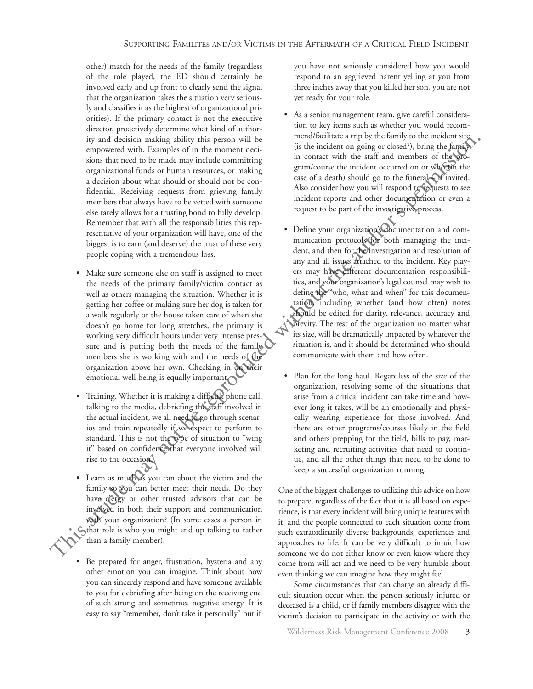other) match for the needs of the family (regardless of the role played, the ED should certainly be involved early and up front to clearly send the signal that the organization takes the situation very seriously and classifies it as the highest of organizational priorities). If the primary contact is not the executive director, proactively determine what kind of authority and decision making ability this person will be empowered with. Examples of in the moment decisions that need to be made may include committing organizational funds or human resources, or making a decision about what should or should not be confidential. Receiving requests from grieving family members that always have to be vetted with someone else rarely allows for a trusting bond to fully develop. Remember that with all the responsibilities this representative of your organization will have, one of the biggest is to earn (and deserve) the trust of these very people coping with a tremendous loss.

- Make sure someone else on staff is assigned to meet the needs of the primary family/victim contact as well as others managing the situation. Whether it is getting her coffee or making sure her dog is taken for a walk regularly or the house taken care of when she doesn't go home for long stretches, the primary is working very difficult hours under very intense pressure and is putting both the needs of the family members she is working with and the needs of the organization above her own. Checking in on their emotional well being is equally important.
- Training. Whether it is making a difficult phone call, talking to the media, debriefing the staff involved in the actual incident, we all need to go through scenarios and train repeatedly if we expect to perform to standard. This is not the type of situation to "wing it" based on confidence that everyone involved will rise to the occasion.
- Learn as much as you can about the victim and the family so you can better meet their needs. Do they have clergy or other trusted advisors that can be involved in both their support and communication with your organization? (In some cases a person in that role is who you might end up talking to rather than a family member).
- Be prepared for anger, frustration, hysteria and any other emotion you can imagine. Think about how you can sincerely respond and have someone available to you for debriefing after being on the receiving end of such strong and sometimes negative energy. It is easy to say "remember, don't take it personally" but if

you have not seriously considered how you would respond to an aggrieved parent yelling at you from three inches away that you killed her son, you are not yet ready for your role.

- As a senior management team, give careful consideration to key items such as whether you would recommend/facilitate a trip by the family to the incident site (is the incident on-going or closed?), bring the family in contact with the staff and members of the program/course the incident occurred on or who (in the case of a death) should go to the funeral – if invited. Also consider how you will respond to requests to see incident reports and other documentation or even a request to be part of the investigative process.
- Define your organization's documentation and communication protocols for both managing the incident, and then for the investigation and resolution of any and all issues attached to the incident. Key players may have different documentation responsibilities, and your organization's legal counsel may wish to define the "who, what and when" for this documentation, including whether (and how often) notes should be edited for clarity, relevance, accuracy and brevity. The rest of the organization no matter what its size, will be dramatically impacted by whatever the situation is, and it should be determined who should communicate with them and how often. Ex and decision and interesting ability the interesting of the including ability that is a member of the formula contribution of the matter of the matter of the authorities in the representation of the matter of the autho
	- Plan for the long haul. Regardless of the size of the organization, resolving some of the situations that arise from a critical incident can take time and however long it takes, will be an emotionally and physically wearing experience for those involved. And there are other programs/courses likely in the field and others prepping for the field, bills to pay, marketing and recruiting activities that need to continue, and all the other things that need to be done to keep a successful organization running.

One of the biggest challenges to utilizing this advice on how to prepare, regardless of the fact that it is all based on experience, is that every incident will bring unique features with it, and the people connected to each situation come from such extraordinarily diverse backgrounds, experiences and approaches to life. It can be very difficult to intuit how someone we do not either know or even know where they come from will act and we need to be very humble about even thinking we can imagine how they might feel.

Some circumstances that can charge an already difficult situation occur when the person seriously injured or deceased is a child, or if family members disagree with the victim's decision to participate in the activity or with the